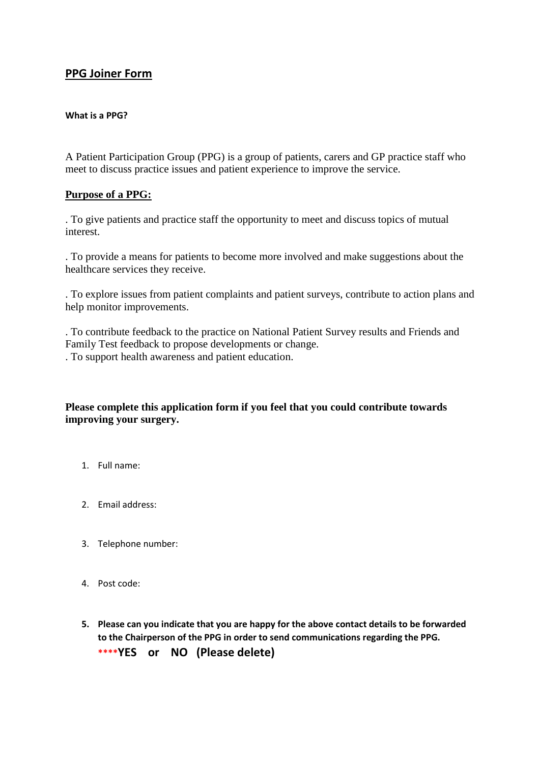## **PPG Joiner Form**

## **What is a PPG?**

A Patient Participation Group (PPG) is a group of patients, carers and GP practice staff who meet to discuss practice issues and patient experience to improve the service.

## **Purpose of a PPG:**

. To give patients and practice staff the opportunity to meet and discuss topics of mutual interest.

. To provide a means for patients to become more involved and make suggestions about the healthcare services they receive.

. To explore issues from patient complaints and patient surveys, contribute to action plans and help monitor improvements.

. To contribute feedback to the practice on National Patient Survey results and Friends and Family Test feedback to propose developments or change. . To support health awareness and patient education.

## **Please complete this application form if you feel that you could contribute towards improving your surgery.**

- 1. Full name:
- 2. Email address:
- 3. Telephone number:
- 4. Post code:
- **5. Please can you indicate that you are happy for the above contact details to be forwarded to the Chairperson of the PPG in order to send communications regarding the PPG. \*\*\*\*YES or NO (Please delete)**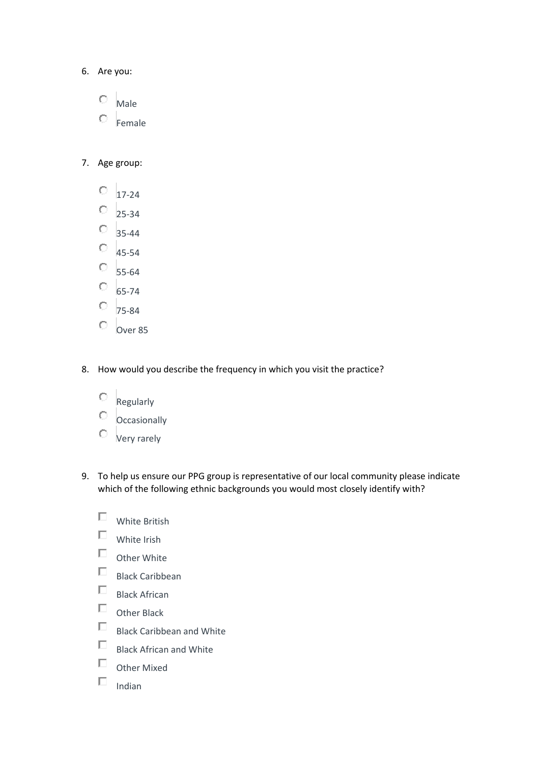- 6. Are you:
	- $\circ$ Male
	- О Female
- 7. Age group:
	- О 17-24
	- $\circ$ 25-34
	- 35-44
	- $\circ$ 45-54
	- $\circ$ 55-64
	- $\circ$ 65-74
	- О 75-84
	- $\circ$ Over 85
- 8. How would you describe the frequency in which you visit the practice?
	- О Regularly
	- О **Occasionally**
	- $\circlearrowright$  Very rarely
- 9. To help us ensure our PPG group is representative of our local community please indicate which of the following ethnic backgrounds you would most closely identify with?
	- П White British
	- $\Box$ White Irish
	- $\Box$ Other White
	- $\Box$ Black Caribbean
	- $\Box$ Black African
	- $\Box$ Other Black
	- $\Box$ Black Caribbean and White
	- $\Box$ Black African and White
	- $\Box$ Other Mixed
	- $\Box$ Indian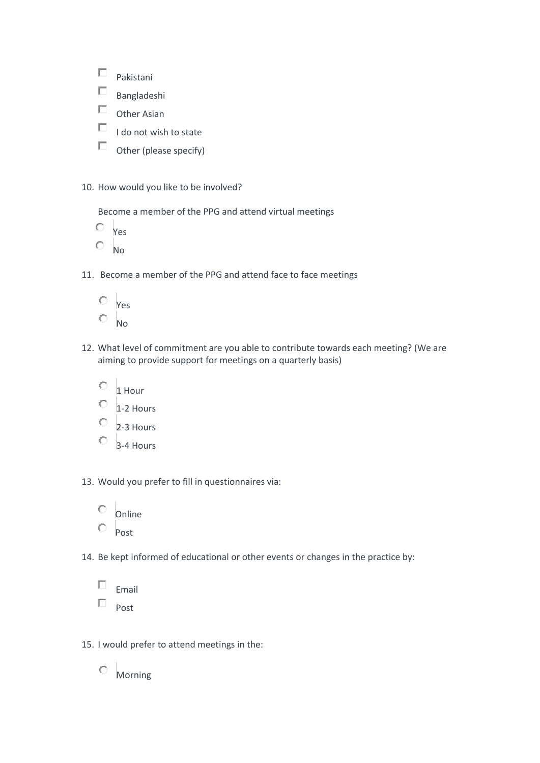| Pakistani              |
|------------------------|
| Bangladeshi            |
| Other Asian            |
| I do not wish to state |
| Other (please specify) |

10. How would you like to be involved?

Become a member of the PPG and attend virtual meetings

Yes

- $O$  No
- 11. Become a member of the PPG and attend face to face meetings



- 12. What level of commitment are you able to contribute towards each meeting? (We are aiming to provide support for meetings on a quarterly basis)
	- 0 1 Hour
	- 0 1-2 Hours
	- O 2-3 Hours
	- $\circ$ 3-4 Hours

13. Would you prefer to fill in questionnaires via:

|  | Online |
|--|--------|
|  | Post   |

14. Be kept informed of educational or other events or changes in the practice by:

| Email |
|-------|
| Post  |

15. I would prefer to attend meetings in the:

 $\circ$  Morning